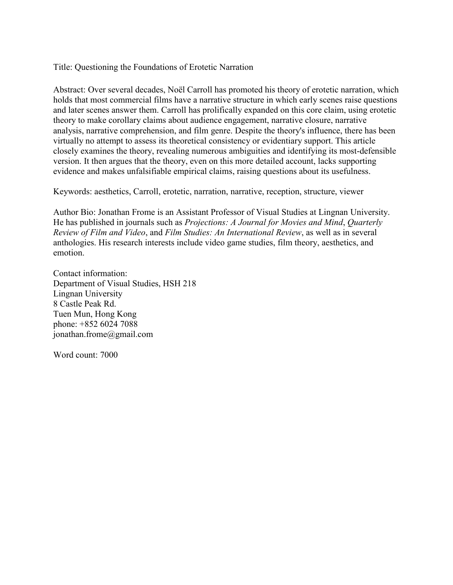Title: Questioning the Foundations of Erotetic Narration

Abstract: Over several decades, Noël Carroll has promoted his theory of erotetic narration, which holds that most commercial films have a narrative structure in which early scenes raise questions and later scenes answer them. Carroll has prolifically expanded on this core claim, using erotetic theory to make corollary claims about audience engagement, narrative closure, narrative analysis, narrative comprehension, and film genre. Despite the theory's influence, there has been virtually no attempt to assess its theoretical consistency or evidentiary support. This article closely examines the theory, revealing numerous ambiguities and identifying its most-defensible version. It then argues that the theory, even on this more detailed account, lacks supporting evidence and makes unfalsifiable empirical claims, raising questions about its usefulness.

Keywords: aesthetics, Carroll, erotetic, narration, narrative, reception, structure, viewer

Author Bio: Jonathan Frome is an Assistant Professor of Visual Studies at Lingnan University. He has published in journals such as *Projections: A Journal for Movies and Mind*, *Quarterly Review of Film and Video*, and *Film Studies: An International Review*, as well as in several anthologies. His research interests include video game studies, film theory, aesthetics, and emotion.

Contact information: Department of Visual Studies, HSH 218 Lingnan University 8 Castle Peak Rd. Tuen Mun, Hong Kong phone: +852 6024 7088 jonathan.frome@gmail.com

Word count: 7000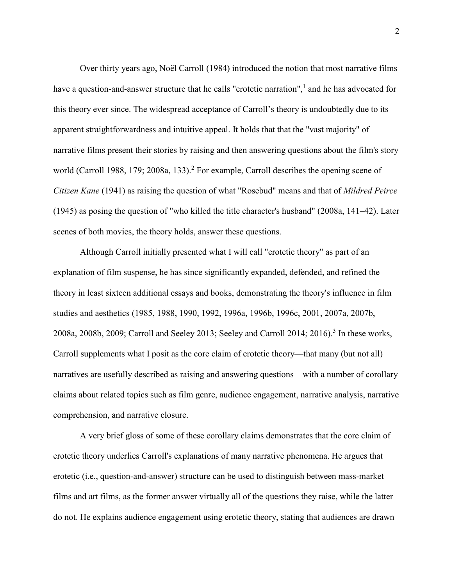Over thirty years ago, Noël Carroll (1984) introduced the notion that most narrative films have a question-and-answer structure that he calls "erotetic narration",<sup>1</sup> and he has advocated for this theory ever since. The widespread acceptance of Carroll's theory is undoubtedly due to its apparent straightforwardness and intuitive appeal. It holds that that the "vast majority" of narrative films present their stories by raising and then answering questions about the film's story world (Carroll 1988, 179; 2008a, 133).<sup>2</sup> For example, Carroll describes the opening scene of *Citizen Kane* (1941) as raising the question of what "Rosebud" means and that of *Mildred Peirce* (1945) as posing the question of "who killed the title character's husband" (2008a, 141–42). Later scenes of both movies, the theory holds, answer these questions.

Although Carroll initially presented what I will call "erotetic theory" as part of an explanation of film suspense, he has since significantly expanded, defended, and refined the theory in least sixteen additional essays and books, demonstrating the theory's influence in film studies and aesthetics (1985, 1988, 1990, 1992, 1996a, 1996b, 1996c, 2001, 2007a, 2007b, 2008a, 2008b, 2009; Carroll and Seeley 2013; Seeley and Carroll 2014; 2016).<sup>3</sup> In these works, Carroll supplements what I posit as the core claim of erotetic theory—that many (but not all) narratives are usefully described as raising and answering questions—with a number of corollary claims about related topics such as film genre, audience engagement, narrative analysis, narrative comprehension, and narrative closure.

A very brief gloss of some of these corollary claims demonstrates that the core claim of erotetic theory underlies Carroll's explanations of many narrative phenomena. He argues that erotetic (i.e., question-and-answer) structure can be used to distinguish between mass-market films and art films, as the former answer virtually all of the questions they raise, while the latter do not. He explains audience engagement using erotetic theory, stating that audiences are drawn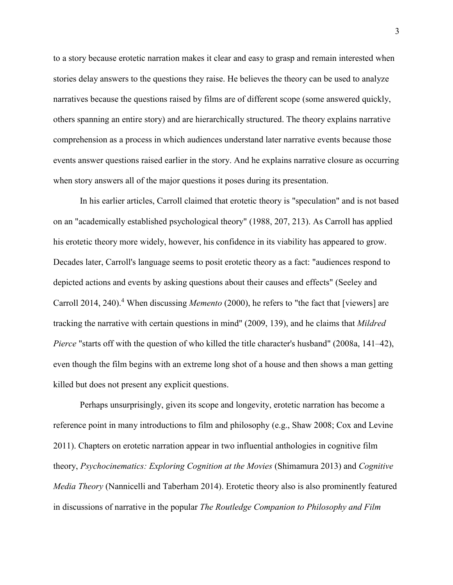to a story because erotetic narration makes it clear and easy to grasp and remain interested when stories delay answers to the questions they raise. He believes the theory can be used to analyze narratives because the questions raised by films are of different scope (some answered quickly, others spanning an entire story) and are hierarchically structured. The theory explains narrative comprehension as a process in which audiences understand later narrative events because those events answer questions raised earlier in the story. And he explains narrative closure as occurring when story answers all of the major questions it poses during its presentation.

In his earlier articles, Carroll claimed that erotetic theory is "speculation" and is not based on an "academically established psychological theory" (1988, 207, 213). As Carroll has applied his erotetic theory more widely, however, his confidence in its viability has appeared to grow. Decades later, Carroll's language seems to posit erotetic theory as a fact: "audiences respond to depicted actions and events by asking questions about their causes and effects" (Seeley and Carroll 2014, 240). <sup>4</sup> When discussing *Memento* (2000), he refers to "the fact that [viewers] are tracking the narrative with certain questions in mind" (2009, 139), and he claims that *Mildred Pierce* "starts off with the question of who killed the title character's husband" (2008a, 141–42), even though the film begins with an extreme long shot of a house and then shows a man getting killed but does not present any explicit questions.

Perhaps unsurprisingly, given its scope and longevity, erotetic narration has become a reference point in many introductions to film and philosophy (e.g., Shaw 2008; Cox and Levine 2011). Chapters on erotetic narration appear in two influential anthologies in cognitive film theory, *Psychocinematics: Exploring Cognition at the Movies* (Shimamura 2013) and *Cognitive Media Theory* (Nannicelli and Taberham 2014). Erotetic theory also is also prominently featured in discussions of narrative in the popular *The Routledge Companion to Philosophy and Film*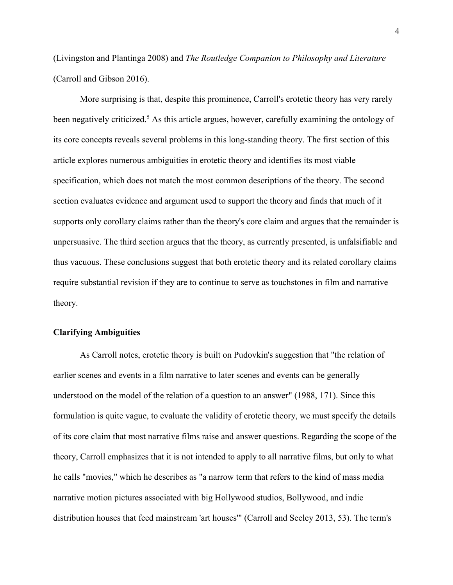(Livingston and Plantinga 2008) and *The Routledge Companion to Philosophy and Literature* (Carroll and Gibson 2016).

More surprising is that, despite this prominence, Carroll's erotetic theory has very rarely been negatively criticized.<sup>5</sup> As this article argues, however, carefully examining the ontology of its core concepts reveals several problems in this long-standing theory. The first section of this article explores numerous ambiguities in erotetic theory and identifies its most viable specification, which does not match the most common descriptions of the theory. The second section evaluates evidence and argument used to support the theory and finds that much of it supports only corollary claims rather than the theory's core claim and argues that the remainder is unpersuasive. The third section argues that the theory, as currently presented, is unfalsifiable and thus vacuous. These conclusions suggest that both erotetic theory and its related corollary claims require substantial revision if they are to continue to serve as touchstones in film and narrative theory.

# **Clarifying Ambiguities**

As Carroll notes, erotetic theory is built on Pudovkin's suggestion that "the relation of earlier scenes and events in a film narrative to later scenes and events can be generally understood on the model of the relation of a question to an answer" (1988, 171). Since this formulation is quite vague, to evaluate the validity of erotetic theory, we must specify the details of its core claim that most narrative films raise and answer questions. Regarding the scope of the theory, Carroll emphasizes that it is not intended to apply to all narrative films, but only to what he calls "movies," which he describes as "a narrow term that refers to the kind of mass media narrative motion pictures associated with big Hollywood studios, Bollywood, and indie distribution houses that feed mainstream 'art houses'" (Carroll and Seeley 2013, 53). The term's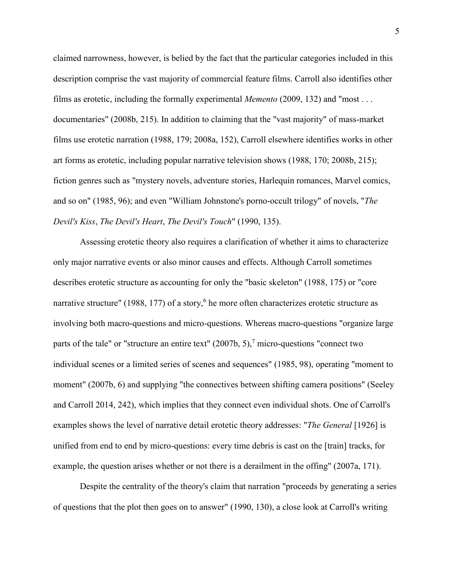claimed narrowness, however, is belied by the fact that the particular categories included in this description comprise the vast majority of commercial feature films. Carroll also identifies other films as erotetic, including the formally experimental *Memento* (2009, 132) and "most . . . documentaries" (2008b, 215). In addition to claiming that the "vast majority" of mass-market films use erotetic narration (1988, 179; 2008a, 152), Carroll elsewhere identifies works in other art forms as erotetic, including popular narrative television shows (1988, 170; 2008b, 215); fiction genres such as "mystery novels, adventure stories, Harlequin romances, Marvel comics, and so on" (1985, 96); and even "William Johnstone's porno-occult trilogy" of novels, "*The Devil's Kiss*, *The Devil's Heart*, *The Devil's Touch*" (1990, 135).

Assessing erotetic theory also requires a clarification of whether it aims to characterize only major narrative events or also minor causes and effects. Although Carroll sometimes describes erotetic structure as accounting for only the "basic skeleton" (1988, 175) or "core narrative structure" (1988, 177) of a story,<sup>6</sup> he more often characterizes erotetic structure as involving both macro-questions and micro-questions. Whereas macro-questions "organize large parts of the tale" or "structure an entire text"  $(2007b, 5)$ ,  $\frac{1}{2}$  micro-questions "connect two individual scenes or a limited series of scenes and sequences" (1985, 98), operating "moment to moment" (2007b, 6) and supplying "the connectives between shifting camera positions" (Seeley and Carroll 2014, 242), which implies that they connect even individual shots. One of Carroll's examples shows the level of narrative detail erotetic theory addresses: "*The General* [1926] is unified from end to end by micro-questions: every time debris is cast on the [train] tracks, for example, the question arises whether or not there is a derailment in the offing" (2007a, 171).

Despite the centrality of the theory's claim that narration "proceeds by generating a series of questions that the plot then goes on to answer" (1990, 130), a close look at Carroll's writing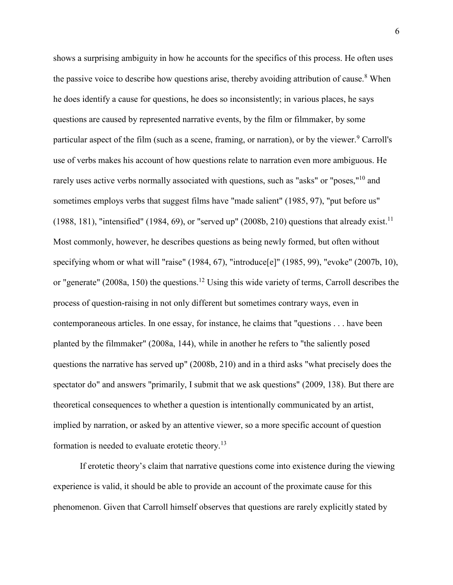shows a surprising ambiguity in how he accounts for the specifics of this process. He often uses the passive voice to describe how questions arise, thereby avoiding attribution of cause.<sup>8</sup> When he does identify a cause for questions, he does so inconsistently; in various places, he says questions are caused by represented narrative events, by the film or filmmaker, by some particular aspect of the film (such as a scene, framing, or narration), or by the viewer.<sup>9</sup> Carroll's use of verbs makes his account of how questions relate to narration even more ambiguous. He rarely uses active verbs normally associated with questions, such as "asks" or "poses,"<sup>10</sup> and sometimes employs verbs that suggest films have "made salient" (1985, 97), "put before us" (1988, 181), "intensified" (1984, 69), or "served up" (2008b, 210) questions that already exist.<sup>11</sup> Most commonly, however, he describes questions as being newly formed, but often without specifying whom or what will "raise" (1984, 67), "introduce<sup>[e]"</sup> (1985, 99), "evoke" (2007b, 10), or "generate" (2008a, 150) the questions.<sup>12</sup> Using this wide variety of terms, Carroll describes the process of question-raising in not only different but sometimes contrary ways, even in contemporaneous articles. In one essay, for instance, he claims that "questions . . . have been planted by the filmmaker" (2008a, 144), while in another he refers to "the saliently posed questions the narrative has served up" (2008b, 210) and in a third asks "what precisely does the spectator do" and answers "primarily, I submit that we ask questions" (2009, 138). But there are theoretical consequences to whether a question is intentionally communicated by an artist, implied by narration, or asked by an attentive viewer, so a more specific account of question formation is needed to evaluate erotetic theory.<sup>13</sup>

If erotetic theory's claim that narrative questions come into existence during the viewing experience is valid, it should be able to provide an account of the proximate cause for this phenomenon. Given that Carroll himself observes that questions are rarely explicitly stated by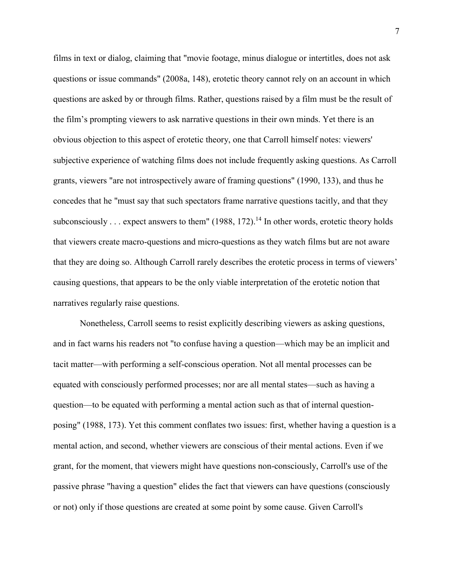films in text or dialog, claiming that "movie footage, minus dialogue or intertitles, does not ask questions or issue commands" (2008a, 148), erotetic theory cannot rely on an account in which questions are asked by or through films. Rather, questions raised by a film must be the result of the film's prompting viewers to ask narrative questions in their own minds. Yet there is an obvious objection to this aspect of erotetic theory, one that Carroll himself notes: viewers' subjective experience of watching films does not include frequently asking questions. As Carroll grants, viewers "are not introspectively aware of framing questions" (1990, 133), and thus he concedes that he "must say that such spectators frame narrative questions tacitly, and that they subconsciously . . . expect answers to them" (1988, 172).<sup>14</sup> In other words, erotetic theory holds that viewers create macro-questions and micro-questions as they watch films but are not aware that they are doing so. Although Carroll rarely describes the erotetic process in terms of viewers' causing questions, that appears to be the only viable interpretation of the erotetic notion that narratives regularly raise questions.

Nonetheless, Carroll seems to resist explicitly describing viewers as asking questions, and in fact warns his readers not "to confuse having a question—which may be an implicit and tacit matter—with performing a self-conscious operation. Not all mental processes can be equated with consciously performed processes; nor are all mental states—such as having a question—to be equated with performing a mental action such as that of internal questionposing" (1988, 173). Yet this comment conflates two issues: first, whether having a question is a mental action, and second, whether viewers are conscious of their mental actions. Even if we grant, for the moment, that viewers might have questions non-consciously, Carroll's use of the passive phrase "having a question" elides the fact that viewers can have questions (consciously or not) only if those questions are created at some point by some cause. Given Carroll's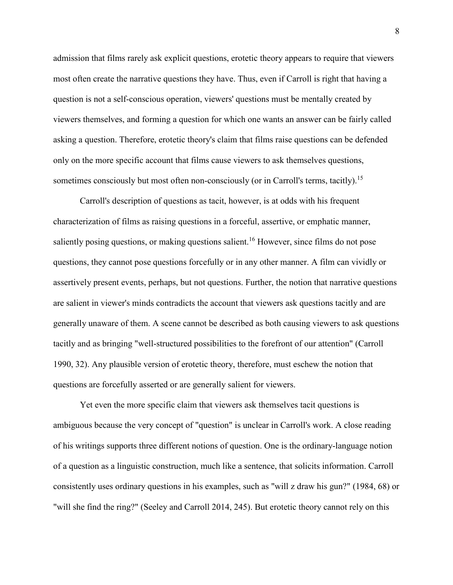admission that films rarely ask explicit questions, erotetic theory appears to require that viewers most often create the narrative questions they have. Thus, even if Carroll is right that having a question is not a self-conscious operation, viewers' questions must be mentally created by viewers themselves, and forming a question for which one wants an answer can be fairly called asking a question. Therefore, erotetic theory's claim that films raise questions can be defended only on the more specific account that films cause viewers to ask themselves questions, sometimes consciously but most often non-consciously (or in Carroll's terms, tacitly).<sup>15</sup>

Carroll's description of questions as tacit, however, is at odds with his frequent characterization of films as raising questions in a forceful, assertive, or emphatic manner, saliently posing questions, or making questions salient.<sup>16</sup> However, since films do not pose questions, they cannot pose questions forcefully or in any other manner. A film can vividly or assertively present events, perhaps, but not questions. Further, the notion that narrative questions are salient in viewer's minds contradicts the account that viewers ask questions tacitly and are generally unaware of them. A scene cannot be described as both causing viewers to ask questions tacitly and as bringing "well-structured possibilities to the forefront of our attention" (Carroll 1990, 32). Any plausible version of erotetic theory, therefore, must eschew the notion that questions are forcefully asserted or are generally salient for viewers.

Yet even the more specific claim that viewers ask themselves tacit questions is ambiguous because the very concept of "question" is unclear in Carroll's work. A close reading of his writings supports three different notions of question. One is the ordinary-language notion of a question as a linguistic construction, much like a sentence, that solicits information. Carroll consistently uses ordinary questions in his examples, such as "will z draw his gun?" (1984, 68) or "will she find the ring?" (Seeley and Carroll 2014, 245). But erotetic theory cannot rely on this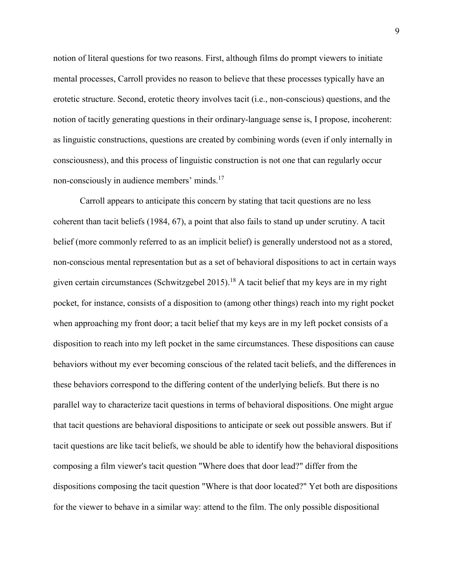notion of literal questions for two reasons. First, although films do prompt viewers to initiate mental processes, Carroll provides no reason to believe that these processes typically have an erotetic structure. Second, erotetic theory involves tacit (i.e., non-conscious) questions, and the notion of tacitly generating questions in their ordinary-language sense is, I propose, incoherent: as linguistic constructions, questions are created by combining words (even if only internally in consciousness), and this process of linguistic construction is not one that can regularly occur non-consciously in audience members' minds.<sup>17</sup>

Carroll appears to anticipate this concern by stating that tacit questions are no less coherent than tacit beliefs (1984, 67), a point that also fails to stand up under scrutiny. A tacit belief (more commonly referred to as an implicit belief) is generally understood not as a stored, non-conscious mental representation but as a set of behavioral dispositions to act in certain ways given certain circumstances (Schwitzgebel 2015).<sup>18</sup> A tacit belief that my keys are in my right pocket, for instance, consists of a disposition to (among other things) reach into my right pocket when approaching my front door; a tacit belief that my keys are in my left pocket consists of a disposition to reach into my left pocket in the same circumstances. These dispositions can cause behaviors without my ever becoming conscious of the related tacit beliefs, and the differences in these behaviors correspond to the differing content of the underlying beliefs. But there is no parallel way to characterize tacit questions in terms of behavioral dispositions. One might argue that tacit questions are behavioral dispositions to anticipate or seek out possible answers. But if tacit questions are like tacit beliefs, we should be able to identify how the behavioral dispositions composing a film viewer's tacit question "Where does that door lead?" differ from the dispositions composing the tacit question "Where is that door located?" Yet both are dispositions for the viewer to behave in a similar way: attend to the film. The only possible dispositional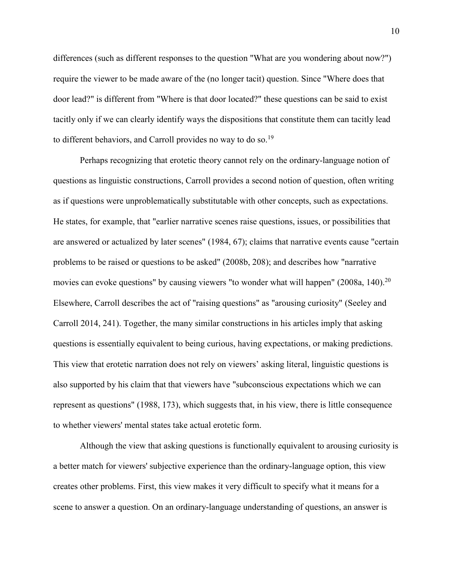differences (such as different responses to the question "What are you wondering about now?") require the viewer to be made aware of the (no longer tacit) question. Since "Where does that door lead?" is different from "Where is that door located?" these questions can be said to exist tacitly only if we can clearly identify ways the dispositions that constitute them can tacitly lead to different behaviors, and Carroll provides no way to do so.<sup>19</sup>

Perhaps recognizing that erotetic theory cannot rely on the ordinary-language notion of questions as linguistic constructions, Carroll provides a second notion of question, often writing as if questions were unproblematically substitutable with other concepts, such as expectations. He states, for example, that "earlier narrative scenes raise questions, issues, or possibilities that are answered or actualized by later scenes" (1984, 67); claims that narrative events cause "certain problems to be raised or questions to be asked" (2008b, 208); and describes how "narrative movies can evoke questions" by causing viewers "to wonder what will happen" (2008a, 140).<sup>20</sup> Elsewhere, Carroll describes the act of "raising questions" as "arousing curiosity" (Seeley and Carroll 2014, 241). Together, the many similar constructions in his articles imply that asking questions is essentially equivalent to being curious, having expectations, or making predictions. This view that erotetic narration does not rely on viewers' asking literal, linguistic questions is also supported by his claim that that viewers have "subconscious expectations which we can represent as questions" (1988, 173), which suggests that, in his view, there is little consequence to whether viewers' mental states take actual erotetic form.

Although the view that asking questions is functionally equivalent to arousing curiosity is a better match for viewers' subjective experience than the ordinary-language option, this view creates other problems. First, this view makes it very difficult to specify what it means for a scene to answer a question. On an ordinary-language understanding of questions, an answer is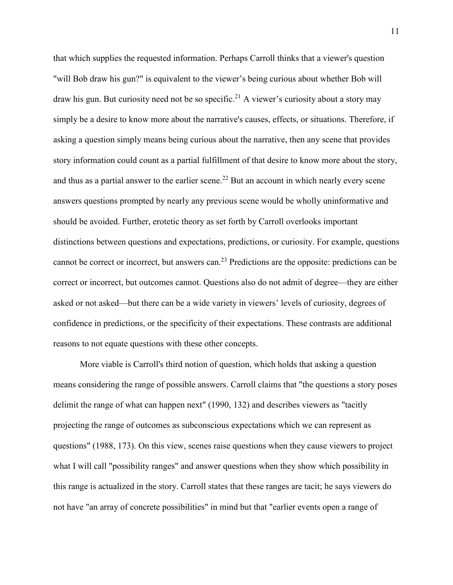that which supplies the requested information. Perhaps Carroll thinks that a viewer's question "will Bob draw his gun?" is equivalent to the viewer's being curious about whether Bob will draw his gun. But curiosity need not be so specific.<sup>21</sup> A viewer's curiosity about a story may simply be a desire to know more about the narrative's causes, effects, or situations. Therefore, if asking a question simply means being curious about the narrative, then any scene that provides story information could count as a partial fulfillment of that desire to know more about the story, and thus as a partial answer to the earlier scene.<sup>22</sup> But an account in which nearly every scene answers questions prompted by nearly any previous scene would be wholly uninformative and should be avoided. Further, erotetic theory as set forth by Carroll overlooks important distinctions between questions and expectations, predictions, or curiosity. For example, questions cannot be correct or incorrect, but answers can.<sup>23</sup> Predictions are the opposite: predictions can be correct or incorrect, but outcomes cannot. Questions also do not admit of degree—they are either asked or not asked—but there can be a wide variety in viewers' levels of curiosity, degrees of confidence in predictions, or the specificity of their expectations. These contrasts are additional reasons to not equate questions with these other concepts.

More viable is Carroll's third notion of question, which holds that asking a question means considering the range of possible answers. Carroll claims that "the questions a story poses delimit the range of what can happen next" (1990, 132) and describes viewers as "tacitly projecting the range of outcomes as subconscious expectations which we can represent as questions" (1988, 173). On this view, scenes raise questions when they cause viewers to project what I will call "possibility ranges" and answer questions when they show which possibility in this range is actualized in the story. Carroll states that these ranges are tacit; he says viewers do not have "an array of concrete possibilities" in mind but that "earlier events open a range of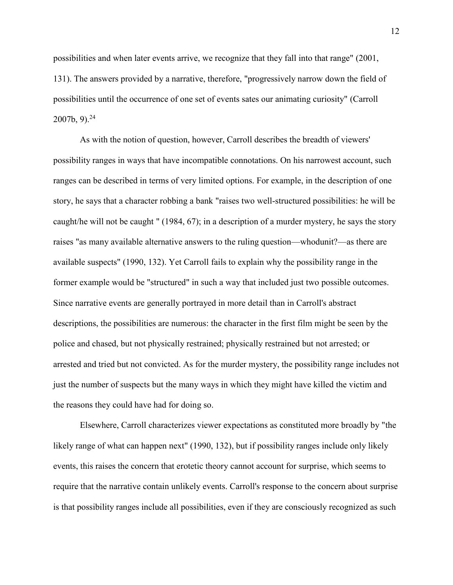possibilities and when later events arrive, we recognize that they fall into that range" (2001, 131). The answers provided by a narrative, therefore, "progressively narrow down the field of possibilities until the occurrence of one set of events sates our animating curiosity" (Carroll  $2007b, 9$ <sup>24</sup>

As with the notion of question, however, Carroll describes the breadth of viewers' possibility ranges in ways that have incompatible connotations. On his narrowest account, such ranges can be described in terms of very limited options. For example, in the description of one story, he says that a character robbing a bank "raises two well-structured possibilities: he will be caught/he will not be caught " (1984, 67); in a description of a murder mystery, he says the story raises "as many available alternative answers to the ruling question—whodunit?—as there are available suspects" (1990, 132). Yet Carroll fails to explain why the possibility range in the former example would be "structured" in such a way that included just two possible outcomes. Since narrative events are generally portrayed in more detail than in Carroll's abstract descriptions, the possibilities are numerous: the character in the first film might be seen by the police and chased, but not physically restrained; physically restrained but not arrested; or arrested and tried but not convicted. As for the murder mystery, the possibility range includes not just the number of suspects but the many ways in which they might have killed the victim and the reasons they could have had for doing so.

Elsewhere, Carroll characterizes viewer expectations as constituted more broadly by "the likely range of what can happen next" (1990, 132), but if possibility ranges include only likely events, this raises the concern that erotetic theory cannot account for surprise, which seems to require that the narrative contain unlikely events. Carroll's response to the concern about surprise is that possibility ranges include all possibilities, even if they are consciously recognized as such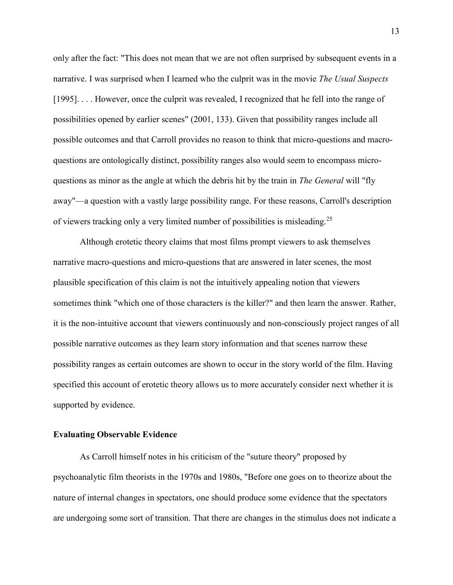only after the fact: "This does not mean that we are not often surprised by subsequent events in a narrative. I was surprised when I learned who the culprit was in the movie *The Usual Suspects* [1995]. . . . However, once the culprit was revealed, I recognized that he fell into the range of possibilities opened by earlier scenes" (2001, 133). Given that possibility ranges include all possible outcomes and that Carroll provides no reason to think that micro-questions and macroquestions are ontologically distinct, possibility ranges also would seem to encompass microquestions as minor as the angle at which the debris hit by the train in *The General* will "fly away"—a question with a vastly large possibility range. For these reasons, Carroll's description of viewers tracking only a very limited number of possibilities is misleading.<sup>25</sup>

Although erotetic theory claims that most films prompt viewers to ask themselves narrative macro-questions and micro-questions that are answered in later scenes, the most plausible specification of this claim is not the intuitively appealing notion that viewers sometimes think "which one of those characters is the killer?" and then learn the answer. Rather, it is the non-intuitive account that viewers continuously and non-consciously project ranges of all possible narrative outcomes as they learn story information and that scenes narrow these possibility ranges as certain outcomes are shown to occur in the story world of the film. Having specified this account of erotetic theory allows us to more accurately consider next whether it is supported by evidence.

# **Evaluating Observable Evidence**

As Carroll himself notes in his criticism of the "suture theory" proposed by psychoanalytic film theorists in the 1970s and 1980s, "Before one goes on to theorize about the nature of internal changes in spectators, one should produce some evidence that the spectators are undergoing some sort of transition. That there are changes in the stimulus does not indicate a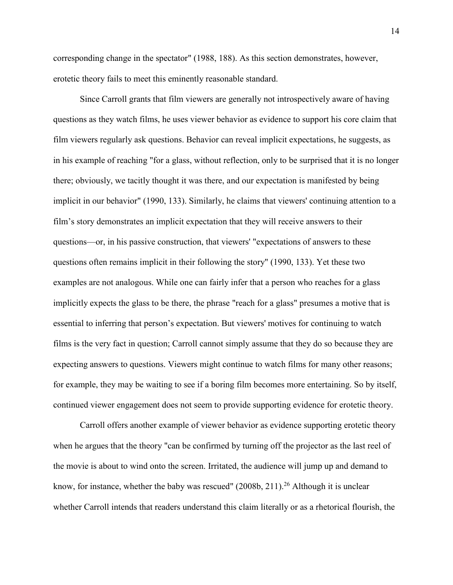corresponding change in the spectator" (1988, 188). As this section demonstrates, however, erotetic theory fails to meet this eminently reasonable standard.

Since Carroll grants that film viewers are generally not introspectively aware of having questions as they watch films, he uses viewer behavior as evidence to support his core claim that film viewers regularly ask questions. Behavior can reveal implicit expectations, he suggests, as in his example of reaching "for a glass, without reflection, only to be surprised that it is no longer there; obviously, we tacitly thought it was there, and our expectation is manifested by being implicit in our behavior" (1990, 133). Similarly, he claims that viewers' continuing attention to a film's story demonstrates an implicit expectation that they will receive answers to their questions—or, in his passive construction, that viewers' "expectations of answers to these questions often remains implicit in their following the story" (1990, 133). Yet these two examples are not analogous. While one can fairly infer that a person who reaches for a glass implicitly expects the glass to be there, the phrase "reach for a glass" presumes a motive that is essential to inferring that person's expectation. But viewers' motives for continuing to watch films is the very fact in question; Carroll cannot simply assume that they do so because they are expecting answers to questions. Viewers might continue to watch films for many other reasons; for example, they may be waiting to see if a boring film becomes more entertaining. So by itself, continued viewer engagement does not seem to provide supporting evidence for erotetic theory.

Carroll offers another example of viewer behavior as evidence supporting erotetic theory when he argues that the theory "can be confirmed by turning off the projector as the last reel of the movie is about to wind onto the screen. Irritated, the audience will jump up and demand to know, for instance, whether the baby was rescued" (2008b, 211).<sup>26</sup> Although it is unclear whether Carroll intends that readers understand this claim literally or as a rhetorical flourish, the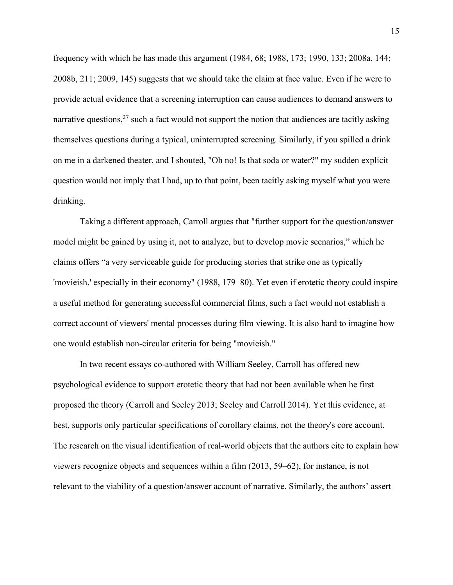frequency with which he has made this argument (1984, 68; 1988, 173; 1990, 133; 2008a, 144; 2008b, 211; 2009, 145) suggests that we should take the claim at face value. Even if he were to provide actual evidence that a screening interruption can cause audiences to demand answers to narrative questions,  $2^7$  such a fact would not support the notion that audiences are tacitly asking themselves questions during a typical, uninterrupted screening. Similarly, if you spilled a drink on me in a darkened theater, and I shouted, "Oh no! Is that soda or water?" my sudden explicit question would not imply that I had, up to that point, been tacitly asking myself what you were drinking.

Taking a different approach, Carroll argues that "further support for the question/answer model might be gained by using it, not to analyze, but to develop movie scenarios," which he claims offers "a very serviceable guide for producing stories that strike one as typically 'movieish,' especially in their economy" (1988, 179–80). Yet even if erotetic theory could inspire a useful method for generating successful commercial films, such a fact would not establish a correct account of viewers' mental processes during film viewing. It is also hard to imagine how one would establish non-circular criteria for being "movieish."

In two recent essays co-authored with William Seeley, Carroll has offered new psychological evidence to support erotetic theory that had not been available when he first proposed the theory (Carroll and Seeley 2013; Seeley and Carroll 2014). Yet this evidence, at best, supports only particular specifications of corollary claims, not the theory's core account. The research on the visual identification of real-world objects that the authors cite to explain how viewers recognize objects and sequences within a film (2013, 59–62), for instance, is not relevant to the viability of a question/answer account of narrative. Similarly, the authors' assert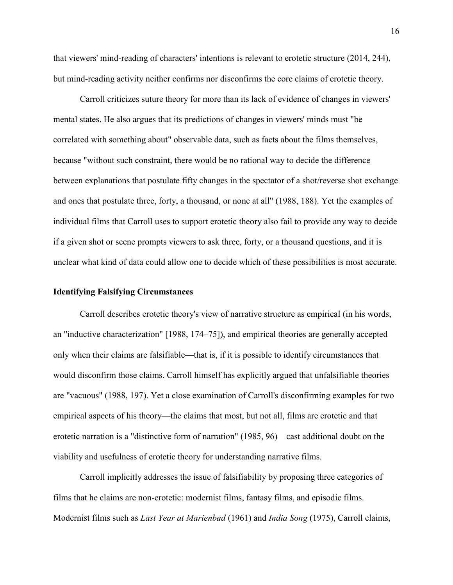that viewers' mind-reading of characters' intentions is relevant to erotetic structure (2014, 244), but mind-reading activity neither confirms nor disconfirms the core claims of erotetic theory.

Carroll criticizes suture theory for more than its lack of evidence of changes in viewers' mental states. He also argues that its predictions of changes in viewers' minds must "be correlated with something about" observable data, such as facts about the films themselves, because "without such constraint, there would be no rational way to decide the difference between explanations that postulate fifty changes in the spectator of a shot/reverse shot exchange and ones that postulate three, forty, a thousand, or none at all" (1988, 188). Yet the examples of individual films that Carroll uses to support erotetic theory also fail to provide any way to decide if a given shot or scene prompts viewers to ask three, forty, or a thousand questions, and it is unclear what kind of data could allow one to decide which of these possibilities is most accurate.

#### **Identifying Falsifying Circumstances**

Carroll describes erotetic theory's view of narrative structure as empirical (in his words, an "inductive characterization" [1988, 174–75]), and empirical theories are generally accepted only when their claims are falsifiable—that is, if it is possible to identify circumstances that would disconfirm those claims. Carroll himself has explicitly argued that unfalsifiable theories are "vacuous" (1988, 197). Yet a close examination of Carroll's disconfirming examples for two empirical aspects of his theory—the claims that most, but not all, films are erotetic and that erotetic narration is a "distinctive form of narration" (1985, 96)—cast additional doubt on the viability and usefulness of erotetic theory for understanding narrative films.

Carroll implicitly addresses the issue of falsifiability by proposing three categories of films that he claims are non-erotetic: modernist films, fantasy films, and episodic films. Modernist films such as *Last Year at Marienbad* (1961) and *India Song* (1975), Carroll claims,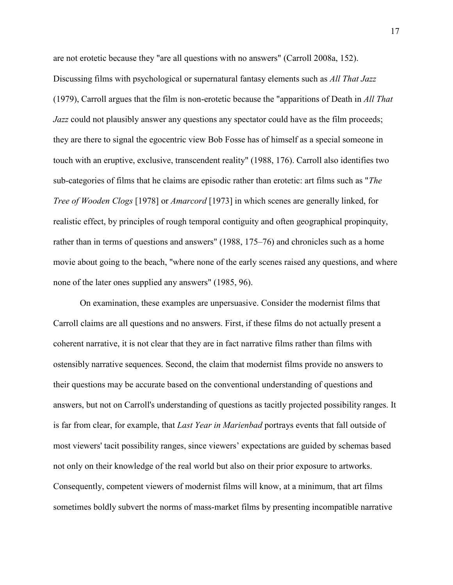are not erotetic because they "are all questions with no answers" (Carroll 2008a, 152). Discussing films with psychological or supernatural fantasy elements such as *All That Jazz* (1979), Carroll argues that the film is non-erotetic because the "apparitions of Death in *All That Jazz* could not plausibly answer any questions any spectator could have as the film proceeds; they are there to signal the egocentric view Bob Fosse has of himself as a special someone in touch with an eruptive, exclusive, transcendent reality" (1988, 176). Carroll also identifies two sub-categories of films that he claims are episodic rather than erotetic: art films such as "*The Tree of Wooden Clogs* [1978] or *Amarcord* [1973] in which scenes are generally linked, for realistic effect, by principles of rough temporal contiguity and often geographical propinquity, rather than in terms of questions and answers" (1988, 175–76) and chronicles such as a home movie about going to the beach, "where none of the early scenes raised any questions, and where none of the later ones supplied any answers" (1985, 96).

On examination, these examples are unpersuasive. Consider the modernist films that Carroll claims are all questions and no answers. First, if these films do not actually present a coherent narrative, it is not clear that they are in fact narrative films rather than films with ostensibly narrative sequences. Second, the claim that modernist films provide no answers to their questions may be accurate based on the conventional understanding of questions and answers, but not on Carroll's understanding of questions as tacitly projected possibility ranges. It is far from clear, for example, that *Last Year in Marienbad* portrays events that fall outside of most viewers' tacit possibility ranges, since viewers' expectations are guided by schemas based not only on their knowledge of the real world but also on their prior exposure to artworks. Consequently, competent viewers of modernist films will know, at a minimum, that art films sometimes boldly subvert the norms of mass-market films by presenting incompatible narrative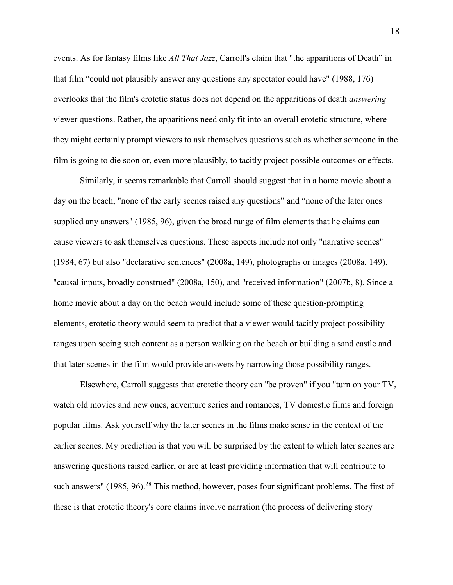events. As for fantasy films like *All That Jazz*, Carroll's claim that "the apparitions of Death" in that film "could not plausibly answer any questions any spectator could have" (1988, 176) overlooks that the film's erotetic status does not depend on the apparitions of death *answering* viewer questions. Rather, the apparitions need only fit into an overall erotetic structure, where they might certainly prompt viewers to ask themselves questions such as whether someone in the film is going to die soon or, even more plausibly, to tacitly project possible outcomes or effects.

Similarly, it seems remarkable that Carroll should suggest that in a home movie about a day on the beach, "none of the early scenes raised any questions" and "none of the later ones supplied any answers" (1985, 96), given the broad range of film elements that he claims can cause viewers to ask themselves questions. These aspects include not only "narrative scenes" (1984, 67) but also "declarative sentences" (2008a, 149), photographs or images (2008a, 149), "causal inputs, broadly construed" (2008a, 150), and "received information" (2007b, 8). Since a home movie about a day on the beach would include some of these question-prompting elements, erotetic theory would seem to predict that a viewer would tacitly project possibility ranges upon seeing such content as a person walking on the beach or building a sand castle and that later scenes in the film would provide answers by narrowing those possibility ranges.

Elsewhere, Carroll suggests that erotetic theory can "be proven" if you "turn on your TV, watch old movies and new ones, adventure series and romances, TV domestic films and foreign popular films. Ask yourself why the later scenes in the films make sense in the context of the earlier scenes. My prediction is that you will be surprised by the extent to which later scenes are answering questions raised earlier, or are at least providing information that will contribute to such answers"  $(1985, 96)$ <sup>28</sup> This method, however, poses four significant problems. The first of these is that erotetic theory's core claims involve narration (the process of delivering story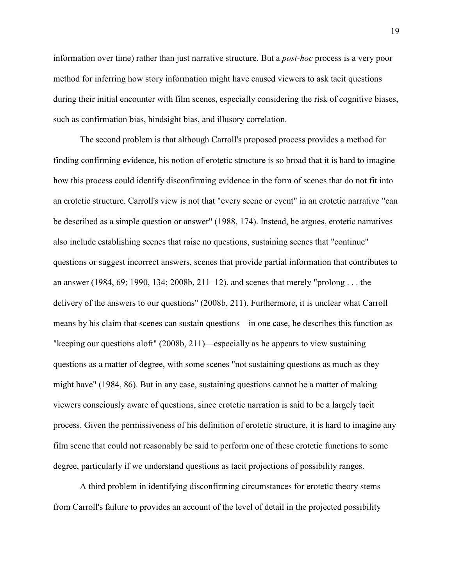information over time) rather than just narrative structure. But a *post-hoc* process is a very poor method for inferring how story information might have caused viewers to ask tacit questions during their initial encounter with film scenes, especially considering the risk of cognitive biases, such as confirmation bias, hindsight bias, and illusory correlation.

The second problem is that although Carroll's proposed process provides a method for finding confirming evidence, his notion of erotetic structure is so broad that it is hard to imagine how this process could identify disconfirming evidence in the form of scenes that do not fit into an erotetic structure. Carroll's view is not that "every scene or event" in an erotetic narrative "can be described as a simple question or answer" (1988, 174). Instead, he argues, erotetic narratives also include establishing scenes that raise no questions, sustaining scenes that "continue" questions or suggest incorrect answers, scenes that provide partial information that contributes to an answer (1984, 69; 1990, 134; 2008b, 211–12), and scenes that merely "prolong . . . the delivery of the answers to our questions" (2008b, 211). Furthermore, it is unclear what Carroll means by his claim that scenes can sustain questions—in one case, he describes this function as "keeping our questions aloft" (2008b, 211)—especially as he appears to view sustaining questions as a matter of degree, with some scenes "not sustaining questions as much as they might have" (1984, 86). But in any case, sustaining questions cannot be a matter of making viewers consciously aware of questions, since erotetic narration is said to be a largely tacit process. Given the permissiveness of his definition of erotetic structure, it is hard to imagine any film scene that could not reasonably be said to perform one of these erotetic functions to some degree, particularly if we understand questions as tacit projections of possibility ranges.

A third problem in identifying disconfirming circumstances for erotetic theory stems from Carroll's failure to provides an account of the level of detail in the projected possibility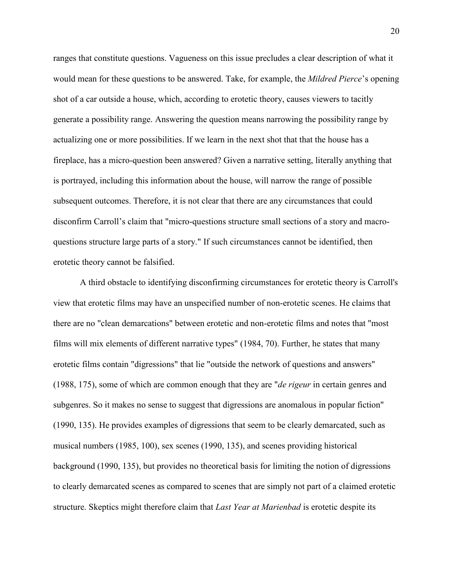ranges that constitute questions. Vagueness on this issue precludes a clear description of what it would mean for these questions to be answered. Take, for example, the *Mildred Pierce*'s opening shot of a car outside a house, which, according to erotetic theory, causes viewers to tacitly generate a possibility range. Answering the question means narrowing the possibility range by actualizing one or more possibilities. If we learn in the next shot that that the house has a fireplace, has a micro-question been answered? Given a narrative setting, literally anything that is portrayed, including this information about the house, will narrow the range of possible subsequent outcomes. Therefore, it is not clear that there are any circumstances that could disconfirm Carroll's claim that "micro-questions structure small sections of a story and macroquestions structure large parts of a story." If such circumstances cannot be identified, then erotetic theory cannot be falsified.

A third obstacle to identifying disconfirming circumstances for erotetic theory is Carroll's view that erotetic films may have an unspecified number of non-erotetic scenes. He claims that there are no "clean demarcations" between erotetic and non-erotetic films and notes that "most films will mix elements of different narrative types" (1984, 70). Further, he states that many erotetic films contain "digressions" that lie "outside the network of questions and answers" (1988, 175), some of which are common enough that they are "*de rigeur* in certain genres and subgenres. So it makes no sense to suggest that digressions are anomalous in popular fiction" (1990, 135). He provides examples of digressions that seem to be clearly demarcated, such as musical numbers (1985, 100), sex scenes (1990, 135), and scenes providing historical background (1990, 135), but provides no theoretical basis for limiting the notion of digressions to clearly demarcated scenes as compared to scenes that are simply not part of a claimed erotetic structure. Skeptics might therefore claim that *Last Year at Marienbad* is erotetic despite its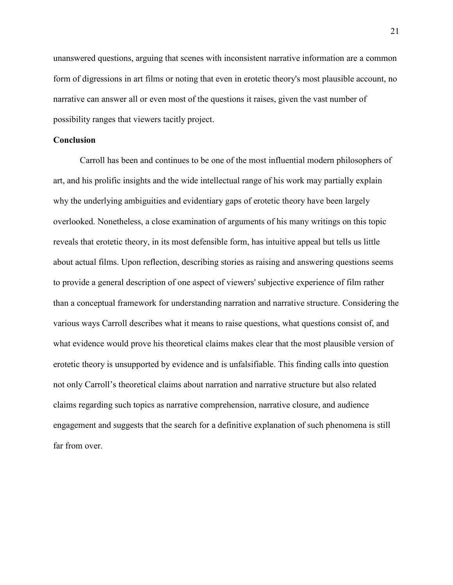unanswered questions, arguing that scenes with inconsistent narrative information are a common form of digressions in art films or noting that even in erotetic theory's most plausible account, no narrative can answer all or even most of the questions it raises, given the vast number of possibility ranges that viewers tacitly project.

## **Conclusion**

Carroll has been and continues to be one of the most influential modern philosophers of art, and his prolific insights and the wide intellectual range of his work may partially explain why the underlying ambiguities and evidentiary gaps of erotetic theory have been largely overlooked. Nonetheless, a close examination of arguments of his many writings on this topic reveals that erotetic theory, in its most defensible form, has intuitive appeal but tells us little about actual films. Upon reflection, describing stories as raising and answering questions seems to provide a general description of one aspect of viewers' subjective experience of film rather than a conceptual framework for understanding narration and narrative structure. Considering the various ways Carroll describes what it means to raise questions, what questions consist of, and what evidence would prove his theoretical claims makes clear that the most plausible version of erotetic theory is unsupported by evidence and is unfalsifiable. This finding calls into question not only Carroll's theoretical claims about narration and narrative structure but also related claims regarding such topics as narrative comprehension, narrative closure, and audience engagement and suggests that the search for a definitive explanation of such phenomena is still far from over.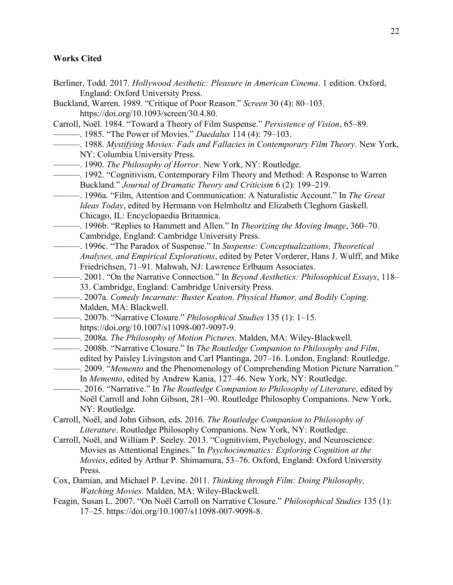# **Works Cited**

- Berliner, Todd. 2017. *Hollywood Aesthetic: Pleasure in American Cinema*. 1 edition. Oxford, England: Oxford University Press.
- Buckland, Warren. 1989. "Critique of Poor Reason." *Screen* 30 (4): 80–103. https://doi.org/10.1093/screen/30.4.80.
- Carroll, Noël. 1984. "Toward a Theory of Film Suspense." *Persistence of Vision*, 65–89.
- ———. 1985. "The Power of Movies." *Daedalus* 114 (4): 79–103.
- ———. 1988. *Mystifying Movies: Fads and Fallacies in Contemporary Film Theory*. New York, NY: Columbia University Press.
- ———. 1990. *The Philosophy of Horror*. New York, NY: Routledge.
- ———. 1992. "Cognitivism, Contemporary Film Theory and Method: A Response to Warren Buckland." *Journal of Dramatic Theory and Criticism* 6 (2): 199–219.
- ———. 1996a. "Film, Attention and Communication: A Naturalistic Account." In *The Great Ideas Today*, edited by Hermann von Helmholtz and Elizabeth Cleghorn Gaskell. Chicago, IL: Encyclopaedia Britannica.
- ———. 1996b. "Replies to Hammett and Allen." In *Theorizing the Moving Image*, 360–70. Cambridge, England: Cambridge University Press.
- ———. 1996c. "The Paradox of Suspense." In *Suspense: Conceptualizations, Theoretical Analyses, and Empirical Explorations*, edited by Peter Vorderer, Hans J. Wulff, and Mike Friedrichsen, 71–91. Mahwah, NJ: Lawrence Erlbaum Associates.
- ———. 2001. "On the Narrative Connection." In *Beyond Aesthetics: Philosophical Essays*, 118– 33. Cambridge, England: Cambridge University Press.
- ———. 2007a. *Comedy Incarnate: Buster Keaton, Physical Humor, and Bodily Coping*. Malden, MA: Blackwell.
- ———. 2007b. "Narrative Closure." *Philosophical Studies* 135 (1): 1–15.
	- https://doi.org/10.1007/s11098-007-9097-9.
- ———. 2008a. *The Philosophy of Motion Pictures*. Malden, MA: Wiley-Blackwell.
- ———. 2008b. "Narrative Closure." In *The Routledge Companion to Philosophy and Film*, edited by Paisley Livingston and Carl Plantinga, 207–16. London, England: Routledge.
- ———. 2009. "*Memento* and the Phenomenology of Comprehending Motion Picture Narration." In *Memento*, edited by Andrew Kania, 127–46. New York, NY: Routledge.
- ———. 2016. "Narrative." In *The Routledge Companion to Philosophy of Literature*, edited by Noël Carroll and John Gibson, 281–90. Routledge Philosophy Companions. New York, NY: Routledge.
- Carroll, Noël, and John Gibson, eds. 2016. *The Routledge Companion to Philosophy of Literature*. Routledge Philosophy Companions. New York, NY: Routledge.
- Carroll, Noël, and William P. Seeley. 2013. "Cognitivism, Psychology, and Neuroscience: Movies as Attentional Engines." In *Psychocinematics: Exploring Cognition at the Movies*, edited by Arthur P. Shimamura, 53–76. Oxford, England: Oxford University Press.
- Cox, Damian, and Michael P. Levine. 2011. *Thinking through Film: Doing Philosophy, Watching Movies*. Malden, MA: Wiley-Blackwell.
- Feagin, Susan L. 2007. "On Noël Carroll on Narrative Closure." *Philosophical Studies* 135 (1): 17–25. https://doi.org/10.1007/s11098-007-9098-8.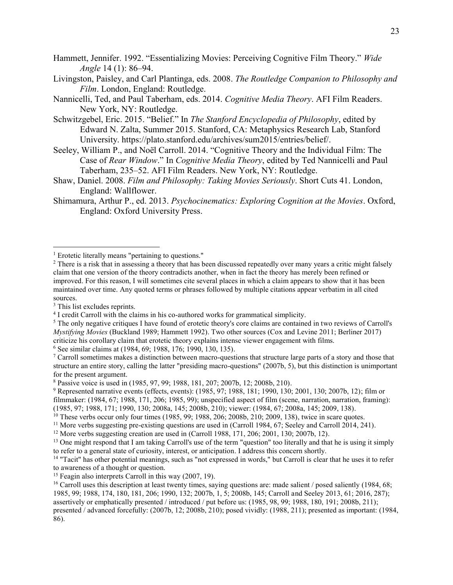Hammett, Jennifer. 1992. "Essentializing Movies: Perceiving Cognitive Film Theory." *Wide Angle* 14 (1): 86–94.

- Livingston, Paisley, and Carl Plantinga, eds. 2008. *The Routledge Companion to Philosophy and Film*. London, England: Routledge.
- Nannicelli, Ted, and Paul Taberham, eds. 2014. *Cognitive Media Theory*. AFI Film Readers. New York, NY: Routledge.
- Schwitzgebel, Eric. 2015. "Belief." In *The Stanford Encyclopedia of Philosophy*, edited by Edward N. Zalta, Summer 2015. Stanford, CA: Metaphysics Research Lab, Stanford University. https://plato.stanford.edu/archives/sum2015/entries/belief/.
- Seeley, William P., and Noël Carroll. 2014. "Cognitive Theory and the Individual Film: The Case of *Rear Window*." In *Cognitive Media Theory*, edited by Ted Nannicelli and Paul Taberham, 235–52. AFI Film Readers. New York, NY: Routledge.
- Shaw, Daniel. 2008. *Film and Philosophy: Taking Movies Seriously*. Short Cuts 41. London, England: Wallflower.
- Shimamura, Arthur P., ed. 2013. *Psychocinematics: Exploring Cognition at the Movies*. Oxford, England: Oxford University Press.

- <sup>2</sup> There is a risk that in assessing a theory that has been discussed repeatedly over many years a critic might falsely claim that one version of the theory contradicts another, when in fact the theory has merely been refined or improved. For this reason, I will sometimes cite several places in which a claim appears to show that it has been maintained over time. Any quoted terms or phrases followed by multiple citations appear verbatim in all cited sources.
- <sup>3</sup> This list excludes reprints.

 $\overline{a}$ 

<sup>5</sup> The only negative critiques I have found of erotetic theory's core claims are contained in two reviews of Carroll's *Mystifying Movies* (Buckland 1989; Hammett 1992). Two other sources (Cox and Levine 2011; Berliner 2017) criticize his corollary claim that erotetic theory explains intense viewer engagement with films.

<sup>6</sup> See similar claims at (1984, 69; 1988, 176; 1990, 130, 135).

<sup>7</sup> Carroll sometimes makes a distinction between macro-questions that structure large parts of a story and those that structure an entire story, calling the latter "presiding macro-questions" (2007b, 5), but this distinction is unimportant for the present argument.

- <sup>9</sup> Represented narrative events (effects, events): (1985, 97; 1988, 181; 1990, 130; 2001, 130; 2007b, 12); film or filmmaker: (1984, 67; 1988, 171, 206; 1985, 99); unspecified aspect of film (scene, narration, narration, framing): (1985, 97; 1988, 171; 1990, 130; 2008a, 145; 2008b, 210); viewer: (1984, 67; 2008a, 145; 2009, 138).
- $10$  These verbs occur only four times (1985, 99; 1988, 206; 2008b, 210; 2009, 138), twice in scare quotes.
- <sup>11</sup> More verbs suggesting pre-existing questions are used in (Carroll 1984, 67; Seeley and Carroll 2014, 241).
- <sup>12</sup> More verbs suggesting creation are used in (Carroll 1988, 171, 206; 2001, 130; 2007b, 12).

- <sup>14</sup> "Tacit" has other potential meanings, such as "not expressed in words," but Carroll is clear that he uses it to refer to awareness of a thought or question.
- <sup>15</sup> Feagin also interprets Carroll in this way (2007, 19).

<sup>&</sup>lt;sup>1</sup> Erotetic literally means "pertaining to questions."

<sup>&</sup>lt;sup>4</sup> I credit Carroll with the claims in his co-authored works for grammatical simplicity.

<sup>8</sup> Passive voice is used in (1985, 97, 99; 1988, 181, 207; 2007b, 12; 2008b, 210).

 $<sup>13</sup>$  One might respond that I am taking Carroll's use of the term "question" too literally and that he is using it simply</sup> to refer to a general state of curiosity, interest, or anticipation. I address this concern shortly.

<sup>&</sup>lt;sup>16</sup> Carroll uses this description at least twenty times, saying questions are: made salient / posed saliently (1984, 68; 1985, 99; 1988, 174, 180, 181, 206; 1990, 132; 2007b, 1, 5; 2008b, 145; Carroll and Seeley 2013, 61; 2016, 287); assertively or emphatically presented / introduced / put before us: (1985, 98, 99; 1988, 180, 191; 2008b, 211); presented / advanced forcefully: (2007b, 12; 2008b, 210); posed vividly: (1988, 211); presented as important: (1984, 86).